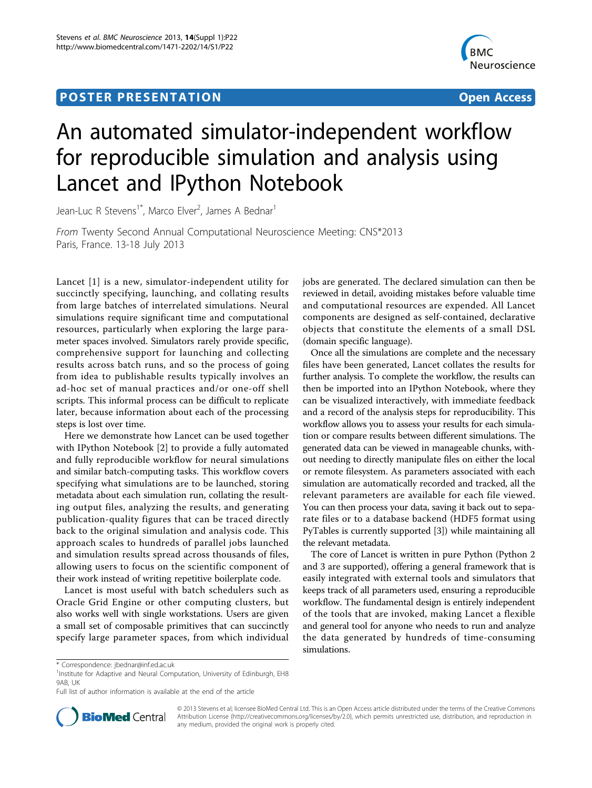## **POSTER PRESENTATION CONSUMING THE SERVICE SERVICE SERVICES**



# An automated simulator-independent workflow for reproducible simulation and analysis using Lancet and IPython Notebook

Jean-Luc R Stevens<sup>1\*</sup>, Marco Elver<sup>2</sup>, James A Bednar<sup>1</sup>

From Twenty Second Annual Computational Neuroscience Meeting: CNS\*2013 Paris, France. 13-18 July 2013

Lancet [[1\]](#page-1-0) is a new, simulator-independent utility for succinctly specifying, launching, and collating results from large batches of interrelated simulations. Neural simulations require significant time and computational resources, particularly when exploring the large parameter spaces involved. Simulators rarely provide specific, comprehensive support for launching and collecting results across batch runs, and so the process of going from idea to publishable results typically involves an ad-hoc set of manual practices and/or one-off shell scripts. This informal process can be difficult to replicate later, because information about each of the processing steps is lost over time.

Here we demonstrate how Lancet can be used together with IPython Notebook [[2](#page-1-0)] to provide a fully automated and fully reproducible workflow for neural simulations and similar batch-computing tasks. This workflow covers specifying what simulations are to be launched, storing metadata about each simulation run, collating the resulting output files, analyzing the results, and generating publication-quality figures that can be traced directly back to the original simulation and analysis code. This approach scales to hundreds of parallel jobs launched and simulation results spread across thousands of files, allowing users to focus on the scientific component of their work instead of writing repetitive boilerplate code.

Lancet is most useful with batch schedulers such as Oracle Grid Engine or other computing clusters, but also works well with single workstations. Users are given a small set of composable primitives that can succinctly specify large parameter spaces, from which individual jobs are generated. The declared simulation can then be reviewed in detail, avoiding mistakes before valuable time and computational resources are expended. All Lancet components are designed as self-contained, declarative objects that constitute the elements of a small DSL (domain specific language).

Once all the simulations are complete and the necessary files have been generated, Lancet collates the results for further analysis. To complete the workflow, the results can then be imported into an IPython Notebook, where they can be visualized interactively, with immediate feedback and a record of the analysis steps for reproducibility. This workflow allows you to assess your results for each simulation or compare results between different simulations. The generated data can be viewed in manageable chunks, without needing to directly manipulate files on either the local or remote filesystem. As parameters associated with each simulation are automatically recorded and tracked, all the relevant parameters are available for each file viewed. You can then process your data, saving it back out to separate files or to a database backend (HDF5 format using PyTables is currently supported [\[3](#page-1-0)]) while maintaining all the relevant metadata.

The core of Lancet is written in pure Python (Python 2 and 3 are supported), offering a general framework that is easily integrated with external tools and simulators that keeps track of all parameters used, ensuring a reproducible workflow. The fundamental design is entirely independent of the tools that are invoked, making Lancet a flexible and general tool for anyone who needs to run and analyze the data generated by hundreds of time-consuming simulations.

Full list of author information is available at the end of the article



© 2013 Stevens et al; licensee BioMed Central Ltd. This is an Open Access article distributed under the terms of the Creative Commons Attribution License [\(http://creativecommons.org/licenses/by/2.0](http://creativecommons.org/licenses/by/2.0)), which permits unrestricted use, distribution, and reproduction in any medium, provided the original work is properly cited.

<sup>\*</sup> Correspondence: [jbednar@inf.ed.ac.uk](mailto:jbednar@inf.ed.ac.uk)

<sup>&</sup>lt;sup>1</sup>Institute for Adaptive and Neural Computation, University of Edinburgh, EH8 9AB, UK